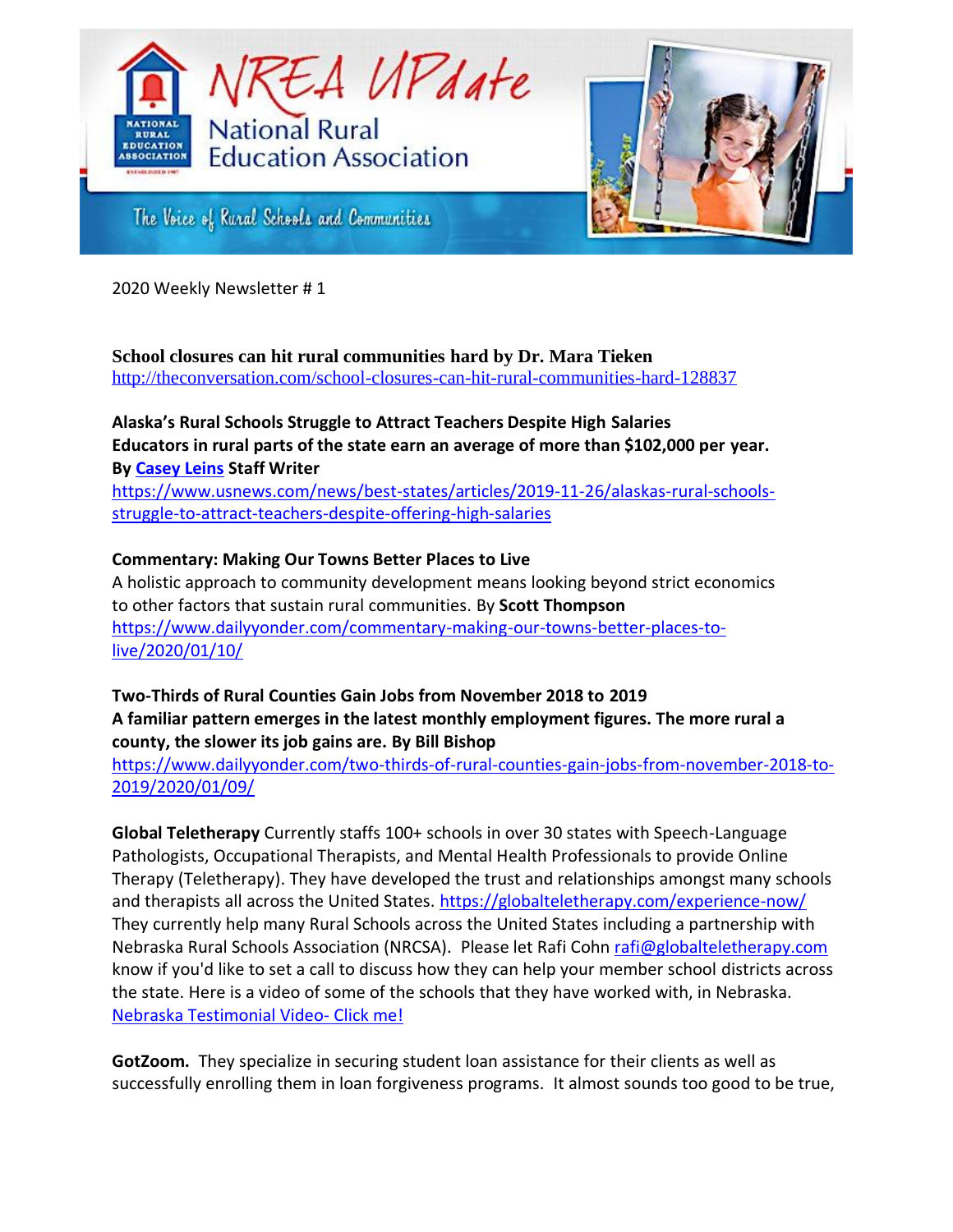



The Voice of Ruzal Schools and Communities

2020 Weekly Newsletter # 1

#### **School closures can hit rural communities hard by Dr. Mara Tieken** <http://theconversation.com/school-closures-can-hit-rural-communities-hard-128837>

# **Alaska's Rural Schools Struggle to Attract Teachers Despite High Salaries Educators in rural parts of the state earn an average of more than \$102,000 per year. By [Casey Leins](https://www.usnews.com/topics/author/casey-leins) Staff Writer**

[https://www.usnews.com/news/best-states/articles/2019-11-26/alaskas-rural-schools](https://www.usnews.com/news/best-states/articles/2019-11-26/alaskas-rural-schools-struggle-to-attract-teachers-despite-offering-high-salaries)[struggle-to-attract-teachers-despite-offering-high-salaries](https://www.usnews.com/news/best-states/articles/2019-11-26/alaskas-rural-schools-struggle-to-attract-teachers-despite-offering-high-salaries)

## **Commentary: Making Our Towns Better Places to Live**

A holistic approach to community development means looking beyond strict economics to other factors that sustain rural communities. By **Scott Thompson** [https://www.dailyyonder.com/commentary-making-our-towns-better-places-to](https://www.dailyyonder.com/commentary-making-our-towns-better-places-to-live/2020/01/10/)[live/2020/01/10/](https://www.dailyyonder.com/commentary-making-our-towns-better-places-to-live/2020/01/10/)

## **Two-Thirds of Rural Counties Gain Jobs from November 2018 to 2019 A familiar pattern emerges in the latest monthly employment figures. The more rural a county, the slower its job gains are. By Bill Bishop**

[https://www.dailyyonder.com/two-thirds-of-rural-counties-gain-jobs-from-november-2018-to-](https://www.dailyyonder.com/two-thirds-of-rural-counties-gain-jobs-from-november-2018-to-2019/2020/01/09/)[2019/2020/01/09/](https://www.dailyyonder.com/two-thirds-of-rural-counties-gain-jobs-from-november-2018-to-2019/2020/01/09/)

**Global Teletherapy** Currently staffs 100+ schools in over 30 states with Speech-Language Pathologists, Occupational Therapists, and Mental Health Professionals to provide Online Therapy (Teletherapy). They have developed the trust and relationships amongst many schools and therapists all across the United States. <https://globalteletherapy.com/experience-now/> They currently help many Rural Schools across the United States including a partnership with Nebraska Rural Schools Association (NRCSA). Please let Rafi Coh[n rafi@globalteletherapy.com](mailto:rafi@globalteletherapy.com) know if you'd like to set a call to discuss how they can help your member school districts across the state. Here is a video of some of the schools that they have worked with, in Nebraska. [Nebraska Testimonial Video-](https://t.sidekickopen79.com/s1t/c/5/f18dQhb0S7lM8dDMPbW2n0x6l2B9nMJN7t5XWPfhMynW2BFJbq4Xr2pWW56dLJy1vbB4x102?te=W3R5hFj4cm2zwW4kFlSB43mZrXW3_rbBK24TsXRW1Q4XpS3GMwZ7w1Q4whm8Q22&si=8000000002381114&pi=98af35df-6967-41d9-8cca-83671bbdea58) Click me!

**GotZoom.** They specialize in securing student loan assistance for their clients as well as successfully enrolling them in loan forgiveness programs. It almost sounds too good to be true,